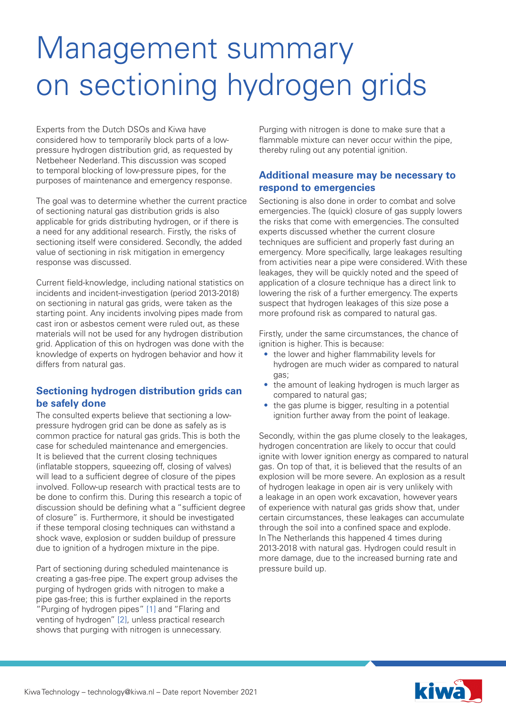# Management summary on sectioning hydrogen grids

Experts from the Dutch DSOs and Kiwa have considered how to temporarily block parts of a lowpressure hydrogen distribution grid, as requested by Netbeheer Nederland. This discussion was scoped to temporal blocking of low-pressure pipes, for the purposes of maintenance and emergency response.

The goal was to determine whether the current practice of sectioning natural gas distribution grids is also applicable for grids distributing hydrogen, or if there is a need for any additional research. Firstly, the risks of sectioning itself were considered. Secondly, the added value of sectioning in risk mitigation in emergency response was discussed.

Current field-knowledge, including national statistics on incidents and incident-investigation (period 2013-2018) on sectioning in natural gas grids, were taken as the starting point. Any incidents involving pipes made from cast iron or asbestos cement were ruled out, as these materials will not be used for any hydrogen distribution grid. Application of this on hydrogen was done with the knowledge of experts on hydrogen behavior and how it differs from natural gas.

### **Sectioning hydrogen distribution grids can be safely done**

The consulted experts believe that sectioning a lowpressure hydrogen grid can be done as safely as is common practice for natural gas grids. This is both the case for scheduled maintenance and emergencies. It is believed that the current closing techniques (inflatable stoppers, squeezing off, closing of valves) will lead to a sufficient degree of closure of the pipes involved. Follow-up research with practical tests are to be done to confirm this. During this research a topic of discussion should be defining what a "sufficient degree of closure" is. Furthermore, it should be investigated if these temporal closing techniques can withstand a shock wave, explosion or sudden buildup of pressure due to ignition of a hydrogen mixture in the pipe.

Part of sectioning during scheduled maintenance is creating a gas-free pipe. The expert group advises the purging of hydrogen grids with nitrogen to make a pipe gas-free; this is further explained in the reports "Purging of hydrogen pipes" [1] and "Flaring and venting of hydrogen" [2], unless practical research shows that purging with nitrogen is unnecessary.

Purging with nitrogen is done to make sure that a flammable mixture can never occur within the pipe, thereby ruling out any potential ignition.

#### **Additional measure may be necessary to respond to emergencies**

Sectioning is also done in order to combat and solve emergencies. The (quick) closure of gas supply lowers the risks that come with emergencies. The consulted experts discussed whether the current closure techniques are sufficient and properly fast during an emergency. More specifically, large leakages resulting from activities near a pipe were considered. With these leakages, they will be quickly noted and the speed of application of a closure technique has a direct link to lowering the risk of a further emergency. The experts suspect that hydrogen leakages of this size pose a more profound risk as compared to natural gas.

Firstly, under the same circumstances, the chance of ignition is higher. This is because:

- the lower and higher flammability levels for hydrogen are much wider as compared to natural gas;
- the amount of leaking hydrogen is much larger as compared to natural gas;
- the gas plume is bigger, resulting in a potential ignition further away from the point of leakage.

Secondly, within the gas plume closely to the leakages, hydrogen concentration are likely to occur that could ignite with lower ignition energy as compared to natural gas. On top of that, it is believed that the results of an explosion will be more severe. An explosion as a result of hydrogen leakage in open air is very unlikely with a leakage in an open work excavation, however years of experience with natural gas grids show that, under certain circumstances, these leakages can accumulate through the soil into a confined space and explode. In The Netherlands this happened 4 times during 2013-2018 with natural gas. Hydrogen could result in more damage, due to the increased burning rate and pressure build up.